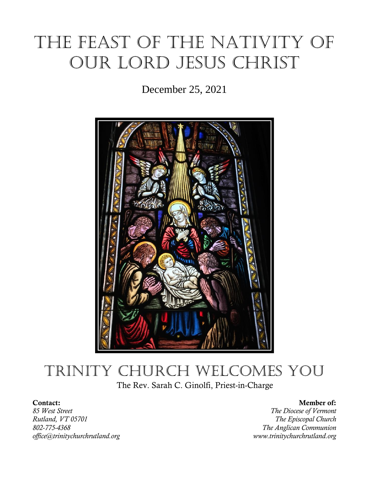# The Feast of the Nativity of Our Lord Jesus Christ

December 25, 2021



## Trinity Church Welcomes You The Rev. Sarah C. Ginolfi, Priest-in-Charge

*85 West Street The Diocese of Vermont Rutland, VT 05701 The Episcopal Church 802-775-4368 The Anglican Communion office@trinitychurchrutland.org www.trinitychurchrutland.org*

## Contact: Member of: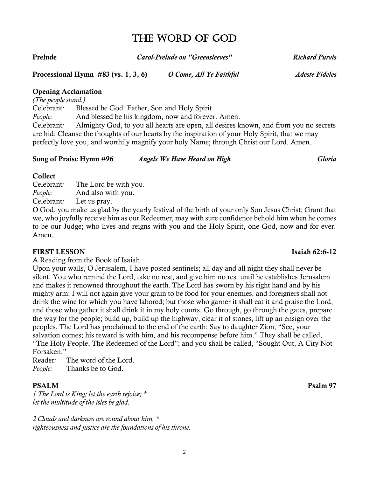## The Word of God

Prelude *Carol-Prelude on "Greensleeves" Richard Purvis*

Processional Hymn #83 (vs. 1, 3, 6) *O Come, All Ye Faithful Adeste Fideles*

## Opening Acclamation

*(The people stand.)*

Celebrant*:* Blessed be God: Father, Son and Holy Spirit.

*People:* And blessed be his kingdom, now and forever. Amen.

Celebrant*:* Almighty God, to you all hearts are open, all desires known, and from you no secrets are hid: Cleanse the thoughts of our hearts by the inspiration of your Holy Spirit, that we may perfectly love you, and worthily magnify your holy Name; through Christ our Lord. Amen.

## Song of Praise Hymn #96 *Angels We Have Heard on High Gloria*

## Collect

Celebrant*:* The Lord be with you.

*People:* And also with you.

Celebrant*:* Let us pray.

O God, you make us glad by the yearly festival of the birth of your only Son Jesus Christ: Grant that we, who joyfully receive him as our Redeemer, may with sure confidence behold him when he comes to be our Judge; who lives and reigns with you and the Holy Spirit, one God, now and for ever. Amen.

## FIRST LESSON Isaiah 62:6-12

A Reading from the Book of Isaiah.

Upon your walls, O Jerusalem, I have posted sentinels; all day and all night they shall never be silent. You who remind the Lord, take no rest, and give him no rest until he establishes Jerusalem and makes it renowned throughout the earth. The Lord has sworn by his right hand and by his mighty arm: I will not again give your grain to be food for your enemies, and foreigners shall not drink the wine for which you have labored; but those who garner it shall eat it and praise the Lord, and those who gather it shall drink it in my holy courts. Go through, go through the gates, prepare the way for the people; build up, build up the highway, clear it of stones, lift up an ensign over the peoples. The Lord has proclaimed to the end of the earth: Say to daughter Zion, "See, your salvation comes; his reward is with him, and his recompense before him." They shall be called, "The Holy People, The Redeemed of the Lord"; and you shall be called, "Sought Out, A City Not Forsaken."

Reader*:* The word of the Lord. *People:* Thanks be to God.

*1 The Lord is King; let the earth rejoice; \* let the multitude of the isles be glad.*

*2 Clouds and darkness are round about him, \* righteousness and justice are the foundations of his throne.*

PSALM Psalm 97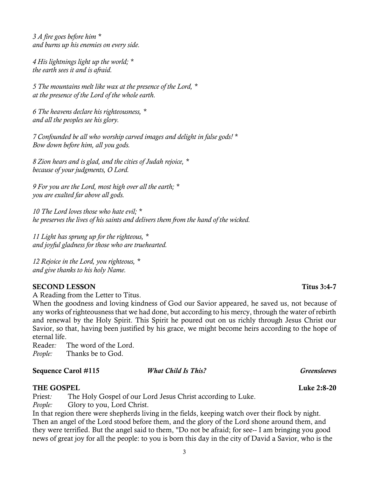*3 A fire goes before him \* and burns up his enemies on every side.*

*4 His lightnings light up the world; \* the earth sees it and is afraid.*

*5 The mountains melt like wax at the presence of the Lord, \* at the presence of the Lord of the whole earth.*

*6 The heavens declare his righteousness, \* and all the peoples see his glory.*

*7 Confounded be all who worship carved images and delight in false gods! \* Bow down before him, all you gods.*

*8 Zion hears and is glad, and the cities of Judah rejoice, \* because of your judgments, O Lord.*

*9 For you are the Lord, most high over all the earth; \* you are exalted far above all gods.*

*10 The Lord loves those who hate evil; \* he preserves the lives of his saints and delivers them from the hand of the wicked.*

*11 Light has sprung up for the righteous, \* and joyful gladness for those who are truehearted.*

*12 Rejoice in the Lord, you righteous, \* and give thanks to his holy Name.*

## SECOND LESSON Titus 3:4-7

A Reading from the Letter to Titus.

When the goodness and loving kindness of God our Savior appeared, he saved us, not because of any works of righteousness that we had done, but according to his mercy, through the water of rebirth and renewal by the Holy Spirit. This Spirit he poured out on us richly through Jesus Christ our Savior, so that, having been justified by his grace, we might become heirs according to the hope of eternal life.

Reader*:* The word of the Lord. *People:* Thanks be to God.

Sequence Carol #115 *What Child Is This? Greensleeves*

## THE GOSPEL **Luke 2:8-20**

Priest*:* The Holy Gospel of our Lord Jesus Christ according to Luke.

*People:* Glory to you, Lord Christ.

In that region there were shepherds living in the fields, keeping watch over their flock by night. Then an angel of the Lord stood before them, and the glory of the Lord shone around them, and they were terrified. But the angel said to them, "Do not be afraid; for see-- I am bringing you good news of great joy for all the people: to you is born this day in the city of David a Savior, who is the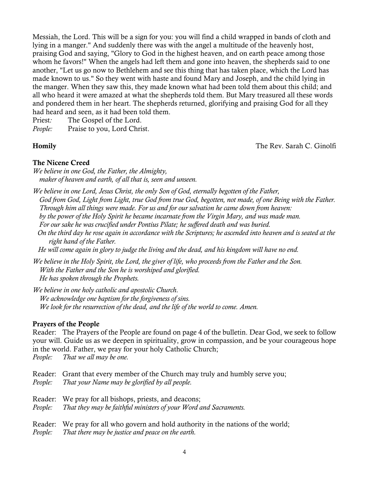Messiah, the Lord. This will be a sign for you: you will find a child wrapped in bands of cloth and lying in a manger." And suddenly there was with the angel a multitude of the heavenly host, praising God and saying, "Glory to God in the highest heaven, and on earth peace among those whom he favors!" When the angels had left them and gone into heaven, the shepherds said to one another, "Let us go now to Bethlehem and see this thing that has taken place, which the Lord has made known to us." So they went with haste and found Mary and Joseph, and the child lying in the manger. When they saw this, they made known what had been told them about this child; and all who heard it were amazed at what the shepherds told them. But Mary treasured all these words and pondered them in her heart. The shepherds returned, glorifying and praising God for all they had heard and seen, as it had been told them.

Priest: The Gospel of the Lord.

*People:* Praise to you, Lord Christ.

**Homily** The Rev. Sarah C. Ginolfi

## The Nicene Creed

*We believe in one God, the Father, the Almighty, maker of heaven and earth, of all that is, seen and unseen.*

*We believe in one Lord, Jesus Christ, the only Son of God, eternally begotten of the Father, God from God, Light from Light, true God from true God, begotten, not made, of one Being with the Father. Through him all things were made. For us and for our salvation he came down from heaven: by the power of the Holy Spirit he became incarnate from the Virgin Mary, and was made man. For our sake he was crucified under Pontius Pilate; he suffered death and was buried. On the third day he rose again in accordance with the Scriptures; he ascended into heaven and is seated at the right hand of the Father.*

*He will come again in glory to judge the living and the dead, and his kingdom will have no end.*

*We believe in the Holy Spirit, the Lord, the giver of life, who proceeds from the Father and the Son. With the Father and the Son he is worshiped and glorified. He has spoken through the Prophets.*

*We believe in one holy catholic and apostolic Church. We acknowledge one baptism for the forgiveness of sins. We look for the resurrection of the dead, and the life of the world to come. Amen.*

## Prayers of the People

Reader: The Prayers of the People are found on page 4 of the bulletin. Dear God, we seek to follow your will. Guide us as we deepen in spirituality, grow in compassion, and be your courageous hope in the world. Father, we pray for your holy Catholic Church; *People: That we all may be one.*

Reader: Grant that every member of the Church may truly and humbly serve you; *People: That your Name may be glorified by all people.*

Reader: We pray for all bishops, priests, and deacons;

*People: That they may be faithful ministers of your Word and Sacraments.*

Reader: We pray for all who govern and hold authority in the nations of the world;

*People: That there may be justice and peace on the earth.*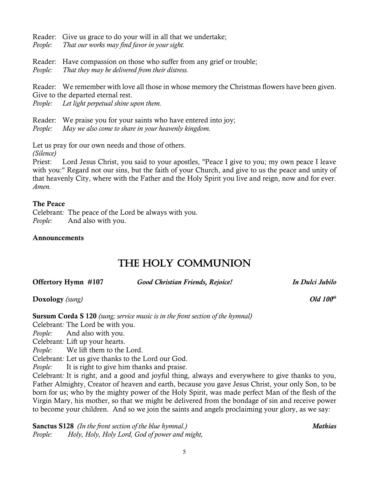Reader: Give us grace to do your will in all that we undertake;

*People: That our works may find favor in your sight.*

Reader: Have compassion on those who suffer from any grief or trouble; *People: That they may be delivered from their distress.*

Reader: We remember with love all those in whose memory the Christmas flowers have been given. Give to the departed eternal rest.

*People: Let light perpetual shine upon them.*

Reader: We praise you for your saints who have entered into joy;

*People: May we also come to share in your heavenly kingdom.*

Let us pray for our own needs and those of others.

*(Silence)*

Priest: Lord Jesus Christ, you said to your apostles, "Peace I give to you; my own peace I leave with you:" Regard not our sins, but the faith of your Church, and give to us the peace and unity of that heavenly City, where with the Father and the Holy Spirit you live and reign, now and for ever. *Amen.*

## The Peace

Celebrant*:* The peace of the Lord be always with you*. People:* And also with you.

## Announcements

## The Holy Communion

Offertory Hymn #107 *Good Christian Friends, Rejoice! In Dulci Jubilo*

Doxology *(sung) Old 100th*

Sursum Corda S 120 *(sung; service music is in the front section of the hymnal)*

Celebrant*:* The Lord be with you.

*People:* And also with you.

Celebrant*:* Lift up your hearts.

*People:* We lift them to the Lord.

Celebrant*:* Let us give thanks to the Lord our God.

*People:* It is right to give him thanks and praise.

Celebrant*:* It is right, and a good and joyful thing, always and everywhere to give thanks to you, Father Almighty, Creator of heaven and earth, because you gave Jesus Christ, your only Son, to be born for us; who by the mighty power of the Holy Spirit, was made perfect Man of the flesh of the Virgin Mary, his mother, so that we might be delivered from the bondage of sin and receive power to become your children. And so we join the saints and angels proclaiming your glory, as we say:

Sanctus S128 *(In the front section of the blue hymnal.) Mathias People: Holy, Holy, Holy Lord, God of power and might,*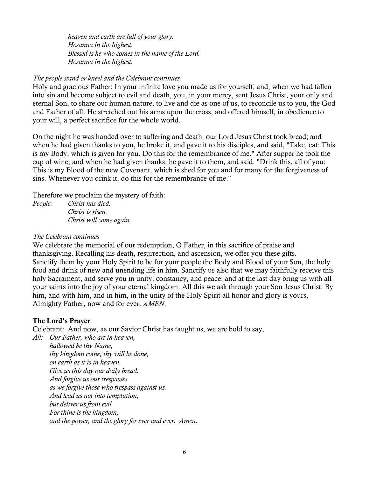*heaven and earth are full of your glory. Hosanna in the highest. Blessed is he who comes in the name of the Lord. Hosanna in the highest.*

## *The people stand or kneel and the Celebrant continues*

Holy and gracious Father: In your infinite love you made us for yourself, and, when we had fallen into sin and become subject to evil and death, you, in your mercy, sent Jesus Christ, your only and eternal Son, to share our human nature, to live and die as one of us, to reconcile us to you, the God and Father of all. He stretched out his arms upon the cross, and offered himself, in obedience to your will, a perfect sacrifice for the whole world.

On the night he was handed over to suffering and death, our Lord Jesus Christ took bread; and when he had given thanks to you, he broke it, and gave it to his disciples, and said, "Take, eat: This is my Body, which is given for you. Do this for the remembrance of me." After supper he took the cup of wine; and when he had given thanks, he gave it to them, and said, "Drink this, all of you: This is my Blood of the new Covenant, which is shed for you and for many for the forgiveness of sins. Whenever you drink it, do this for the remembrance of me."

Therefore we proclaim the mystery of faith:

*People: Christ has died. Christ is risen. Christ will come again.*

## *The Celebrant continues*

We celebrate the memorial of our redemption, O Father, in this sacrifice of praise and thanksgiving. Recalling his death, resurrection, and ascension, we offer you these gifts. Sanctify them by your Holy Spirit to be for your people the Body and Blood of your Son, the holy food and drink of new and unending life in him. Sanctify us also that we may faithfully receive this holy Sacrament, and serve you in unity, constancy, and peace; and at the last day bring us with all your saints into the joy of your eternal kingdom. All this we ask through your Son Jesus Christ: By him, and with him, and in him, in the unity of the Holy Spirit all honor and glory is yours, Almighty Father, now and for ever. *AMEN*.

## The Lord's Prayer

Celebrant: And now, as our Savior Christ has taught us, we are bold to say,

*All: Our Father, who art in heaven, hallowed be thy Name, thy kingdom come, thy will be done, on earth as it is in heaven. Give us this day our daily bread. And forgive us our trespasses as we forgive those who trespass against us. And lead us not into temptation, but deliver us from evil. For thine is the kingdom, and the power, and the glory for ever and ever. Amen.*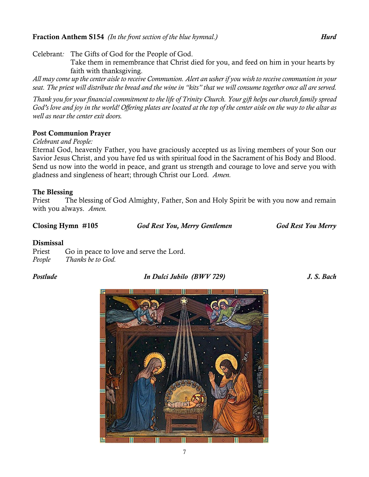Fraction Anthem S154 *(In the front section of the blue hymnal.) Hurd*

Celebrant*:* The Gifts of God for the People of God.

Take them in remembrance that Christ died for you, and feed on him in your hearts by faith with thanksgiving.

*All may come up the center aisle to receive Communion. Alert an usher if you wish to receive communion in your seat. The priest will distribute the bread and the wine in "kits" that we will consume together once all are served.*

*Thank you for your financial commitment to the life of Trinity Church. Your gift helps our church family spread God's love and joy in the world! Offering plates are located at the top of the center aisle on the way to the altar as well as near the center exit doors.*

## Post Communion Prayer

*Celebrant and People:*

Eternal God, heavenly Father, you have graciously accepted us as living members of your Son our Savior Jesus Christ, and you have fed us with spiritual food in the Sacrament of his Body and Blood. Send us now into the world in peace, and grant us strength and courage to love and serve you with gladness and singleness of heart; through Christ our Lord*. Amen.*

## The Blessing

Priest The blessing of God Almighty, Father, Son and Holy Spirit be with you now and remain with you always. *Amen.*

Closing Hymn #105 *God Rest You, Merry Gentlemen God Rest You Merry*

## Dismissal

Priest Go in peace to love and serve the Lord. *People Thanks be to God.*

## *Postlude In Dulci Jubilo (BWV 729) J. S. Bach*